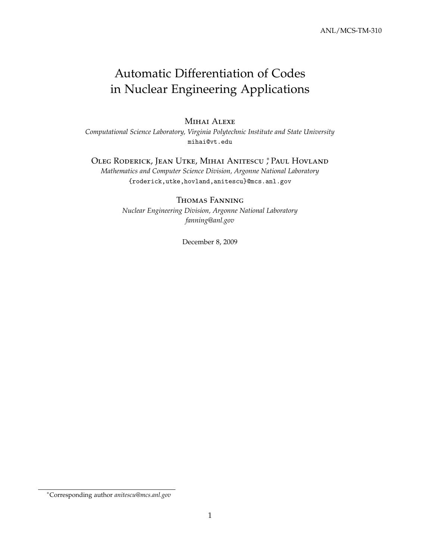# Automatic Differentiation of Codes in Nuclear Engineering Applications

### Mihai Alexe

*Computational Science Laboratory, Virginia Polytechnic Institute and State University* mihai@vt.edu

# Oleg Roderick, Jean Utke, Mihai Anitescu <sup>∗</sup> , Paul Hovland

*Mathematics and Computer Science Division, Argonne National Laboratory* {roderick,utke,hovland,anitescu}@mcs.anl.gov

### Thomas Fanning

*Nuclear Engineering Division, Argonne National Laboratory fanning@anl.gov*

December 8, 2009

<sup>∗</sup>Corresponding author *anitescu@mcs.anl.gov*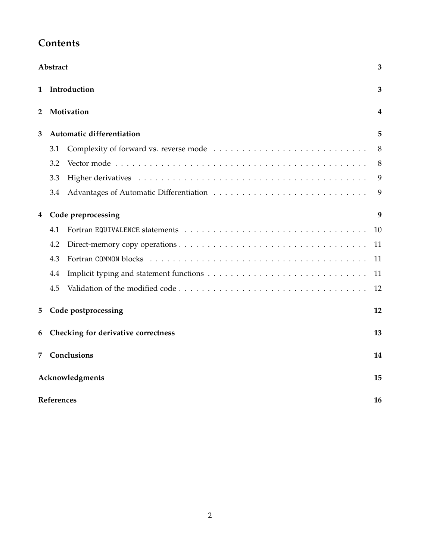| <b>Contents</b> |
|-----------------|
|-----------------|

| Abstract<br>3           |                                           |                           |    |  |  |  |  |
|-------------------------|-------------------------------------------|---------------------------|----|--|--|--|--|
| 1                       |                                           | Introduction              | 3  |  |  |  |  |
| 2                       |                                           | Motivation                | 4  |  |  |  |  |
| 3                       |                                           | Automatic differentiation | 5  |  |  |  |  |
|                         | 3.1                                       |                           | 8  |  |  |  |  |
|                         | 3.2                                       |                           | 8  |  |  |  |  |
|                         | 3.3                                       |                           | 9  |  |  |  |  |
|                         | 3.4                                       |                           | 9  |  |  |  |  |
| Code preprocessing<br>4 |                                           |                           |    |  |  |  |  |
|                         | 4.1                                       |                           | 10 |  |  |  |  |
|                         | 4.2                                       |                           | 11 |  |  |  |  |
|                         | 4.3                                       |                           | 11 |  |  |  |  |
|                         | 4.4                                       |                           | 11 |  |  |  |  |
|                         | 4.5                                       |                           | 12 |  |  |  |  |
| 5.                      | Code postprocessing<br>12                 |                           |    |  |  |  |  |
| 6                       | Checking for derivative correctness<br>13 |                           |    |  |  |  |  |
| 7                       | Conclusions                               |                           |    |  |  |  |  |
|                         | Acknowledgments<br>15                     |                           |    |  |  |  |  |
|                         | References<br>16                          |                           |    |  |  |  |  |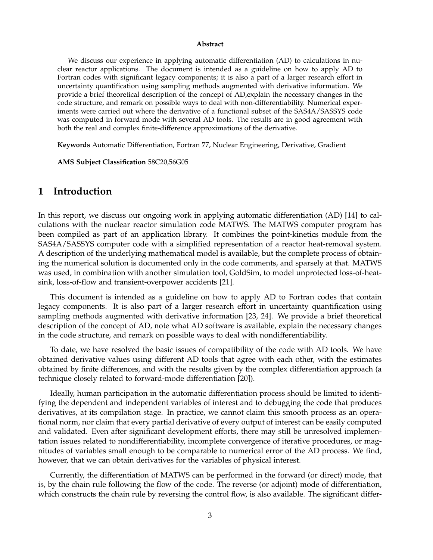#### **Abstract**

We discuss our experience in applying automatic differentiation (AD) to calculations in nuclear reactor applications. The document is intended as a guideline on how to apply AD to Fortran codes with significant legacy components; it is also a part of a larger research effort in uncertainty quantification using sampling methods augmented with derivative information. We provide a brief theoretical description of the concept of AD,explain the necessary changes in the code structure, and remark on possible ways to deal with non-differentiability. Numerical experiments were carried out where the derivative of a functional subset of the SAS4A/SASSYS code was computed in forward mode with several AD tools. The results are in good agreement with both the real and complex finite-difference approximations of the derivative.

**Keywords** Automatic Differentiation, Fortran 77, Nuclear Engineering, Derivative, Gradient

**AMS Subject Classification** 58C20,56G05

# **1 Introduction**

In this report, we discuss our ongoing work in applying automatic differentiation (AD) [14] to calculations with the nuclear reactor simulation code MATWS. The MATWS computer program has been compiled as part of an application library. It combines the point-kinetics module from the SAS4A/SASSYS computer code with a simplified representation of a reactor heat-removal system. A description of the underlying mathematical model is available, but the complete process of obtaining the numerical solution is documented only in the code comments, and sparsely at that. MATWS was used, in combination with another simulation tool, GoldSim, to model unprotected loss-of-heatsink, loss-of-flow and transient-overpower accidents [21].

This document is intended as a guideline on how to apply AD to Fortran codes that contain legacy components. It is also part of a larger research effort in uncertainty quantification using sampling methods augmented with derivative information [23, 24]. We provide a brief theoretical description of the concept of AD, note what AD software is available, explain the necessary changes in the code structure, and remark on possible ways to deal with nondifferentiability.

To date, we have resolved the basic issues of compatibility of the code with AD tools. We have obtained derivative values using different AD tools that agree with each other, with the estimates obtained by finite differences, and with the results given by the complex differentiation approach (a technique closely related to forward-mode differentiation [20]).

Ideally, human participation in the automatic differentiation process should be limited to identifying the dependent and independent variables of interest and to debugging the code that produces derivatives, at its compilation stage. In practice, we cannot claim this smooth process as an operational norm, nor claim that every partial derivative of every output of interest can be easily computed and validated. Even after significant development efforts, there may still be unresolved implementation issues related to nondifferentiability, incomplete convergence of iterative procedures, or magnitudes of variables small enough to be comparable to numerical error of the AD process. We find, however, that we can obtain derivatives for the variables of physical interest.

Currently, the differentiation of MATWS can be performed in the forward (or direct) mode, that is, by the chain rule following the flow of the code. The reverse (or adjoint) mode of differentiation, which constructs the chain rule by reversing the control flow, is also available. The significant differ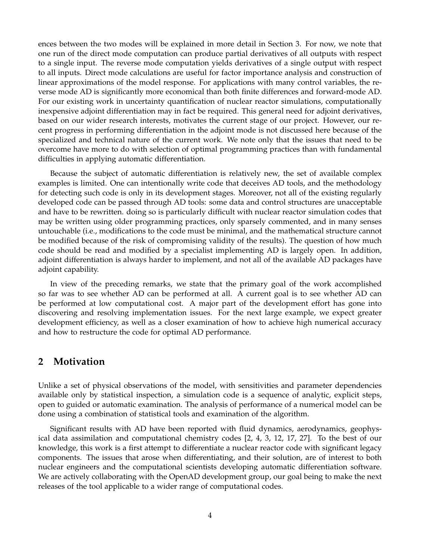ences between the two modes will be explained in more detail in Section 3. For now, we note that one run of the direct mode computation can produce partial derivatives of all outputs with respect to a single input. The reverse mode computation yields derivatives of a single output with respect to all inputs. Direct mode calculations are useful for factor importance analysis and construction of linear approximations of the model response. For applications with many control variables, the reverse mode AD is significantly more economical than both finite differences and forward-mode AD. For our existing work in uncertainty quantification of nuclear reactor simulations, computationally inexpensive adjoint differentiation may in fact be required. This general need for adjoint derivatives, based on our wider research interests, motivates the current stage of our project. However, our recent progress in performing differentiation in the adjoint mode is not discussed here because of the specialized and technical nature of the current work. We note only that the issues that need to be overcome have more to do with selection of optimal programming practices than with fundamental difficulties in applying automatic differentiation.

Because the subject of automatic differentiation is relatively new, the set of available complex examples is limited. One can intentionally write code that deceives AD tools, and the methodology for detecting such code is only in its development stages. Moreover, not all of the existing regularly developed code can be passed through AD tools: some data and control structures are unacceptable and have to be rewritten. doing so is particularly difficult with nuclear reactor simulation codes that may be written using older programming practices, only sparsely commented, and in many senses untouchable (i.e., modifications to the code must be minimal, and the mathematical structure cannot be modified because of the risk of compromising validity of the results). The question of how much code should be read and modified by a specialist implementing AD is largely open. In addition, adjoint differentiation is always harder to implement, and not all of the available AD packages have adjoint capability.

In view of the preceding remarks, we state that the primary goal of the work accomplished so far was to see whether AD can be performed at all. A current goal is to see whether AD can be performed at low computational cost. A major part of the development effort has gone into discovering and resolving implementation issues. For the next large example, we expect greater development efficiency, as well as a closer examination of how to achieve high numerical accuracy and how to restructure the code for optimal AD performance.

# **2 Motivation**

Unlike a set of physical observations of the model, with sensitivities and parameter dependencies available only by statistical inspection, a simulation code is a sequence of analytic, explicit steps, open to guided or automatic examination. The analysis of performance of a numerical model can be done using a combination of statistical tools and examination of the algorithm.

Significant results with AD have been reported with fluid dynamics, aerodynamics, geophysical data assimilation and computational chemistry codes [2, 4, 3, 12, 17, 27]. To the best of our knowledge, this work is a first attempt to differentiate a nuclear reactor code with significant legacy components. The issues that arose when differentiating, and their solution, are of interest to both nuclear engineers and the computational scientists developing automatic differentiation software. We are actively collaborating with the OpenAD development group, our goal being to make the next releases of the tool applicable to a wider range of computational codes.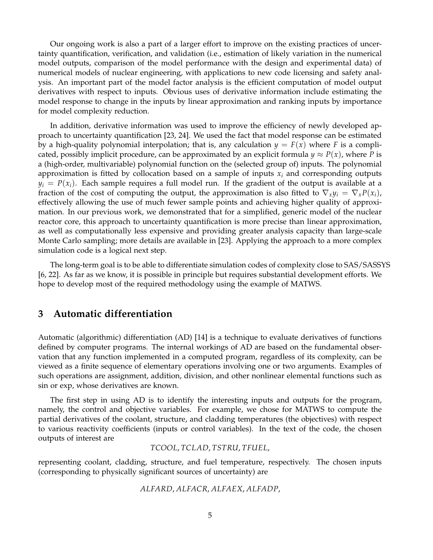Our ongoing work is also a part of a larger effort to improve on the existing practices of uncertainty quantification, verification, and validation (i.e., estimation of likely variation in the numerical model outputs, comparison of the model performance with the design and experimental data) of numerical models of nuclear engineering, with applications to new code licensing and safety analysis. An important part of the model factor analysis is the efficient computation of model output derivatives with respect to inputs. Obvious uses of derivative information include estimating the model response to change in the inputs by linear approximation and ranking inputs by importance for model complexity reduction.

In addition, derivative information was used to improve the efficiency of newly developed approach to uncertainty quantification [23, 24]. We used the fact that model response can be estimated by a high-quality polynomial interpolation; that is, any calculation  $y = F(x)$  where F is a complicated, possibly implicit procedure, can be approximated by an explicit formula  $y \approx P(x)$ , where P is a (high-order, multivariable) polynomial function on the (selected group of) inputs. The polynomial approximation is fitted by collocation based on a sample of inputs  $x_i$  and corresponding outputs  $y_i = P(x_i)$ . Each sample requires a full model run. If the gradient of the output is available at a fraction of the cost of computing the output, the approximation is also fitted to  $\nabla_x y_i = \nabla_x P(x_i)$ , effectively allowing the use of much fewer sample points and achieving higher quality of approximation. In our previous work, we demonstrated that for a simplified, generic model of the nuclear reactor core, this approach to uncertainty quantification is more precise than linear approximation, as well as computationally less expensive and providing greater analysis capacity than large-scale Monte Carlo sampling; more details are available in [23]. Applying the approach to a more complex simulation code is a logical next step.

The long-term goal is to be able to differentiate simulation codes of complexity close to SAS/SASSYS [6, 22]. As far as we know, it is possible in principle but requires substantial development efforts. We hope to develop most of the required methodology using the example of MATWS.

# **3 Automatic differentiation**

Automatic (algorithmic) differentiation (AD) [14] is a technique to evaluate derivatives of functions defined by computer programs. The internal workings of AD are based on the fundamental observation that any function implemented in a computed program, regardless of its complexity, can be viewed as a finite sequence of elementary operations involving one or two arguments. Examples of such operations are assignment, addition, division, and other nonlinear elemental functions such as sin or exp, whose derivatives are known.

The first step in using AD is to identify the interesting inputs and outputs for the program, namely, the control and objective variables. For example, we chose for MATWS to compute the partial derivatives of the coolant, structure, and cladding temperatures (the objectives) with respect to various reactivity coefficients (inputs or control variables). In the text of the code, the chosen outputs of interest are

*TCOOL*, *TCLAD*, *TSTRU*, *TFUEL*,

representing coolant, cladding, structure, and fuel temperature, respectively. The chosen inputs (corresponding to physically significant sources of uncertainty) are

*ALFARD*, *ALFACR*, *ALFAEX*, *ALFADP*,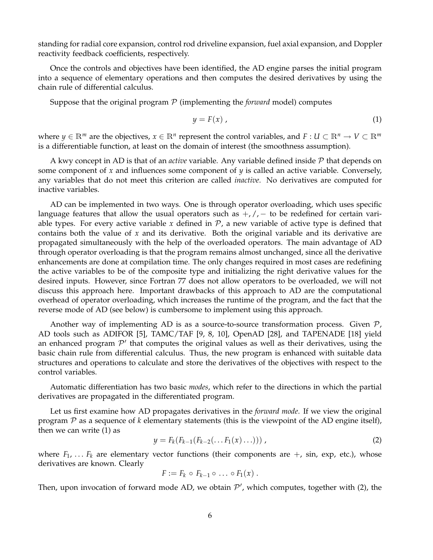standing for radial core expansion, control rod driveline expansion, fuel axial expansion, and Doppler reactivity feedback coefficients, respectively.

Once the controls and objectives have been identified, the AD engine parses the initial program into a sequence of elementary operations and then computes the desired derivatives by using the chain rule of differential calculus.

Suppose that the original program  $P$  (implementing the *forward* model) computes

$$
y = F(x) \tag{1}
$$

where  $y \in \mathbb{R}^m$  are the objectives,  $x \in \mathbb{R}^n$  represent the control variables, and  $F: U \subset \mathbb{R}^n \to V \subset \mathbb{R}^m$ is a differentiable function, at least on the domain of interest (the smoothness assumption).

A kwy concept in AD is that of an *active* variable. Any variable defined inside P that depends on some component of *x* and influences some component of *y* is called an active variable. Conversely, any variables that do not meet this criterion are called *inactive*. No derivatives are computed for inactive variables.

AD can be implemented in two ways. One is through operator overloading, which uses specific language features that allow the usual operators such as  $+$ ,  $/$ ,  $-$  to be redefined for certain variable types. For every active variable x defined in  $P$ , a new variable of active type is defined that contains both the value of *x* and its derivative. Both the original variable and its derivative are propagated simultaneously with the help of the overloaded operators. The main advantage of AD through operator overloading is that the program remains almost unchanged, since all the derivative enhancements are done at compilation time. The only changes required in most cases are redefining the active variables to be of the composite type and initializing the right derivative values for the desired inputs. However, since Fortran 77 does not allow operators to be overloaded, we will not discuss this approach here. Important drawbacks of this approach to AD are the computational overhead of operator overloading, which increases the runtime of the program, and the fact that the reverse mode of AD (see below) is cumbersome to implement using this approach.

Another way of implementing AD is as a source-to-source transformation process. Given  $\mathcal{P}_t$ AD tools such as ADIFOR [5], TAMC/TAF [9, 8, 10], OpenAD [28], and TAPENADE [18] yield an enhanced program  $\mathcal{P}'$  that computes the original values as well as their derivatives, using the basic chain rule from differential calculus. Thus, the new program is enhanced with suitable data structures and operations to calculate and store the derivatives of the objectives with respect to the control variables.

Automatic differentiation has two basic *modes*, which refer to the directions in which the partial derivatives are propagated in the differentiated program.

Let us first examine how AD propagates derivatives in the *forward mode*. If we view the original program  $P$  as a sequence of  $k$  elementary statements (this is the viewpoint of the AD engine itself), then we can write (1) as

$$
y = F_k(F_{k-1}(F_{k-2}(\ldots F_1(x)\ldots)))\,,\tag{2}
$$

where  $F_1$ , ...  $F_k$  are elementary vector functions (their components are  $+$ , sin, exp, etc.), whose derivatives are known. Clearly

$$
F := F_k \circ F_{k-1} \circ \ldots \circ F_1(x) .
$$

Then, upon invocation of forward mode AD, we obtain  $P'$ , which computes, together with (2), the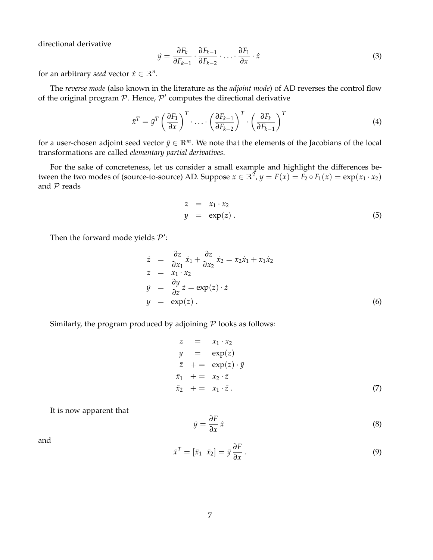directional derivative

$$
\dot{y} = \frac{\partial F_k}{\partial F_{k-1}} \cdot \frac{\partial F_{k-1}}{\partial F_{k-2}} \cdot \ldots \cdot \frac{\partial F_1}{\partial x} \cdot \dot{x}
$$
\n(3)

for an arbitrary *seed* vector  $\dot{x} \in \mathbb{R}^n$ .

The *reverse mode* (also known in the literature as the *adjoint mode*) of AD reverses the control flow of the original program  $P$ . Hence,  $P'$  computes the directional derivative

$$
\bar{x}^T = \bar{y}^T \left(\frac{\partial F_1}{\partial x}\right)^T \cdot \ldots \cdot \left(\frac{\partial F_{k-1}}{\partial F_{k-2}}\right)^T \cdot \left(\frac{\partial F_k}{\partial F_{k-1}}\right)^T \tag{4}
$$

for a user-chosen adjoint seed vector  $\bar{y} \in \mathbb{R}^m$ . We note that the elements of the Jacobians of the local transformations are called *elementary partial derivatives*.

For the sake of concreteness, let us consider a small example and highlight the differences between the two modes of (source-to-source) AD. Suppose  $x \in \mathbb{R}^2$ ,  $y = F(x) = F_2 \circ F_1(x) = \exp(x_1 \cdot x_2)$ and  $P$  reads

$$
z = x_1 \cdot x_2
$$
  
\n
$$
y = \exp(z).
$$
 (5)

Then the forward mode yields  $\mathcal{P}'$ :

$$
\dot{z} = \frac{\partial z}{\partial x_1} \dot{x}_1 + \frac{\partial z}{\partial x_2} \dot{x}_2 = x_2 \dot{x}_1 + x_1 \dot{x}_2
$$
\n
$$
z = x_1 \cdot x_2
$$
\n
$$
\dot{y} = \frac{\partial y}{\partial z} \dot{z} = \exp(z) \cdot \dot{z}
$$
\n
$$
y = \exp(z) .
$$
\n(6)

Similarly, the program produced by adjoining  $P$  looks as follows:

$$
z = x_1 \cdot x_2
$$
  
\n
$$
y = \exp(z)
$$
  
\n
$$
\overline{z} + \overline{z} = \exp(z) \cdot \overline{y}
$$
  
\n
$$
\overline{x}_1 + \overline{z}_2 \cdot \overline{z}
$$
  
\n
$$
\overline{x}_2 + \overline{z}_1 \cdot \overline{z}
$$
  
\n(7)

It is now apparent that

$$
\dot{y} = \frac{\partial F}{\partial x} \dot{x} \tag{8}
$$

and

$$
\bar{x}^T = [\bar{x}_1 \ \bar{x}_2] = \bar{y} \frac{\partial F}{\partial x} \,. \tag{9}
$$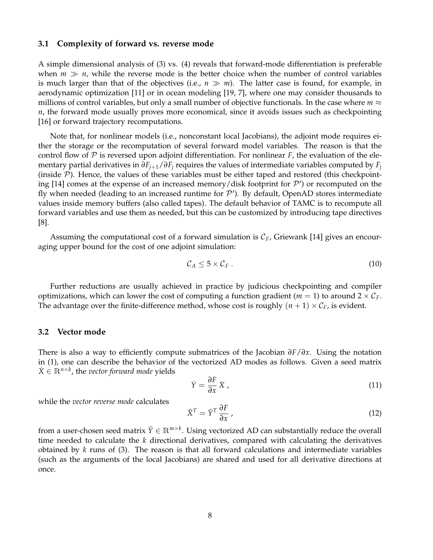#### **3.1 Complexity of forward vs. reverse mode**

A simple dimensional analysis of (3) vs. (4) reveals that forward-mode differentiation is preferable when  $m \gg n$ , while the reverse mode is the better choice when the number of control variables is much larger than that of the objectives (i.e.,  $n \gg m$ ). The latter case is found, for example, in aerodynamic optimization [11] or in ocean modeling [19, 7], where one may consider thousands to millions of control variables, but only a small number of objective functionals. In the case where  $m \approx$ *n*, the forward mode usually proves more economical, since it avoids issues such as checkpointing [16] or forward trajectory recomputations.

Note that, for nonlinear models (i.e., nonconstant local Jacobians), the adjoint mode requires either the storage or the recomputation of several forward model variables. The reason is that the control flow of  $P$  is reversed upon adjoint differentiation. For nonlinear  $F$ , the evaluation of the elementary partial derivatives in  $\partial F_{i+1}/\partial F_i$  requires the values of intermediate variables computed by  $F_i$ (inside  $P$ ). Hence, the values of these variables must be either taped and restored (this checkpointing [14] comes at the expense of an increased memory/disk footprint for  $\mathcal{P}'$ ) or recomputed on the fly when needed (leading to an increased runtime for  $\mathcal{P}'$ ). By default, OpenAD stores intermediate values inside memory buffers (also called tapes). The default behavior of TAMC is to recompute all forward variables and use them as needed, but this can be customized by introducing tape directives [8].

Assuming the computational cost of a forward simulation is C*F*, Griewank [14] gives an encouraging upper bound for the cost of one adjoint simulation:

$$
\mathcal{C}_A \leq 5 \times \mathcal{C}_F \,. \tag{10}
$$

Further reductions are usually achieved in practice by judicious checkpointing and compiler optimizations, which can lower the cost of computing a function gradient ( $m = 1$ ) to around  $2 \times C_F$ . The advantage over the finite-difference method, whose cost is roughly  $(n + 1) \times C_F$ , is evident.

#### **3.2 Vector mode**

There is also a way to efficiently compute submatrices of the Jacobian *∂F*/*∂x*. Using the notation in (1), one can describe the behavior of the vectorized AD modes as follows. Given a seed matrix  $\dot{X} \in \mathbb{R}^{n \times k}$ , the *vector forward mode* yields

$$
\dot{Y} = \frac{\partial F}{\partial x} \dot{X},\tag{11}
$$

while the *vector reverse mode* calculates

$$
\bar{X}^T = \bar{Y}^T \frac{\partial F}{\partial x},\tag{12}
$$

from a user-chosen seed matrix  $\bar{Y} \in \mathbb{R}^{m \times k}$ . Using vectorized AD can substantially reduce the overall time needed to calculate the *k* directional derivatives, compared with calculating the derivatives obtained by *k* runs of (3). The reason is that all forward calculations and intermediate variables (such as the arguments of the local Jacobians) are shared and used for all derivative directions at once.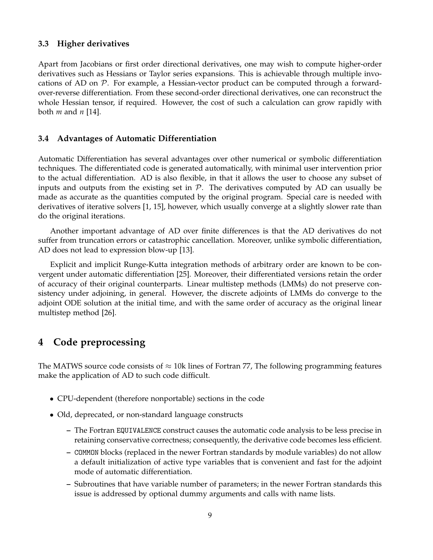### **3.3 Higher derivatives**

Apart from Jacobians or first order directional derivatives, one may wish to compute higher-order derivatives such as Hessians or Taylor series expansions. This is achievable through multiple invocations of AD on  $P$ . For example, a Hessian-vector product can be computed through a forwardover-reverse differentiation. From these second-order directional derivatives, one can reconstruct the whole Hessian tensor, if required. However, the cost of such a calculation can grow rapidly with both *m* and *n* [14].

#### **3.4 Advantages of Automatic Differentiation**

Automatic Differentiation has several advantages over other numerical or symbolic differentiation techniques. The differentiated code is generated automatically, with minimal user intervention prior to the actual differentiation. AD is also flexible, in that it allows the user to choose any subset of inputs and outputs from the existing set in  $\mathcal{P}$ . The derivatives computed by AD can usually be made as accurate as the quantities computed by the original program. Special care is needed with derivatives of iterative solvers [1, 15], however, which usually converge at a slightly slower rate than do the original iterations.

Another important advantage of AD over finite differences is that the AD derivatives do not suffer from truncation errors or catastrophic cancellation. Moreover, unlike symbolic differentiation, AD does not lead to expression blow-up [13].

Explicit and implicit Runge-Kutta integration methods of arbitrary order are known to be convergent under automatic differentiation [25]. Moreover, their differentiated versions retain the order of accuracy of their original counterparts. Linear multistep methods (LMMs) do not preserve consistency under adjoining, in general. However, the discrete adjoints of LMMs do converge to the adjoint ODE solution at the initial time, and with the same order of accuracy as the original linear multistep method [26].

# **4 Code preprocessing**

The MATWS source code consists of  $\approx$  10k lines of Fortran 77, The following programming features make the application of AD to such code difficult.

- CPU-dependent (therefore nonportable) sections in the code
- Old, deprecated, or non-standard language constructs
	- **–** The Fortran EQUIVALENCE construct causes the automatic code analysis to be less precise in retaining conservative correctness; consequently, the derivative code becomes less efficient.
	- **–** COMMON blocks (replaced in the newer Fortran standards by module variables) do not allow a default initialization of active type variables that is convenient and fast for the adjoint mode of automatic differentiation.
	- **–** Subroutines that have variable number of parameters; in the newer Fortran standards this issue is addressed by optional dummy arguments and calls with name lists.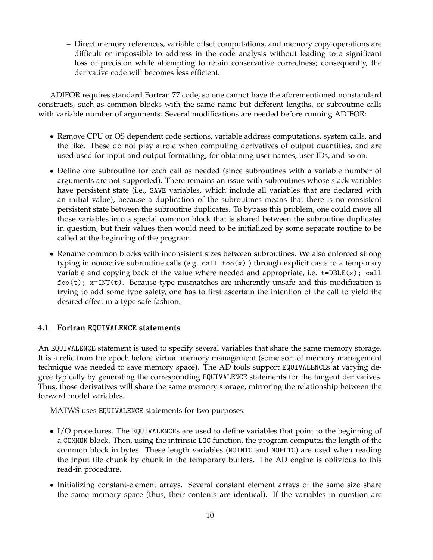**–** Direct memory references, variable offset computations, and memory copy operations are difficult or impossible to address in the code analysis without leading to a significant loss of precision while attempting to retain conservative correctness; consequently, the derivative code will becomes less efficient.

ADIFOR requires standard Fortran 77 code, so one cannot have the aforementioned nonstandard constructs, such as common blocks with the same name but different lengths, or subroutine calls with variable number of arguments. Several modifications are needed before running ADIFOR:

- Remove CPU or OS dependent code sections, variable address computations, system calls, and the like. These do not play a role when computing derivatives of output quantities, and are used used for input and output formatting, for obtaining user names, user IDs, and so on.
- Define one subroutine for each call as needed (since subroutines with a variable number of arguments are not supported). There remains an issue with subroutines whose stack variables have persistent state (i.e., SAVE variables, which include all variables that are declared with an initial value), because a duplication of the subroutines means that there is no consistent persistent state between the subroutine duplicates. To bypass this problem, one could move all those variables into a special common block that is shared between the subroutine duplicates in question, but their values then would need to be initialized by some separate routine to be called at the beginning of the program.
- Rename common blocks with inconsistent sizes between subroutines. We also enforced strong typing in nonactive subroutine calls (e.g. call  $f \circ (x)$ ) through explicit casts to a temporary variable and copying back of the value where needed and appropriate, i.e.  $t = DBLE(x)$ ; call  $foo(t)$ ;  $x=INT(t)$ . Because type mismatches are inherently unsafe and this modification is trying to add some type safety, one has to first ascertain the intention of the call to yield the desired effect in a type safe fashion.

## **4.1 Fortran EQUIVALENCE statements**

An EQUIVALENCE statement is used to specify several variables that share the same memory storage. It is a relic from the epoch before virtual memory management (some sort of memory management technique was needed to save memory space). The AD tools support EQUIVALENCEs at varying degree typically by generating the corresponding EQUIVALENCE statements for the tangent derivatives. Thus, those derivatives will share the same memory storage, mirroring the relationship between the forward model variables.

MATWS uses EQUIVALENCE statements for two purposes:

- I/O procedures. The EQUIVALENCEs are used to define variables that point to the beginning of a COMMON block. Then, using the intrinsic LOC function, the program computes the length of the common block in bytes. These length variables (NOINTC and NOFLTC) are used when reading the input file chunk by chunk in the temporary buffers. The AD engine is oblivious to this read-in procedure.
- Initializing constant-element arrays. Several constant element arrays of the same size share the same memory space (thus, their contents are identical). If the variables in question are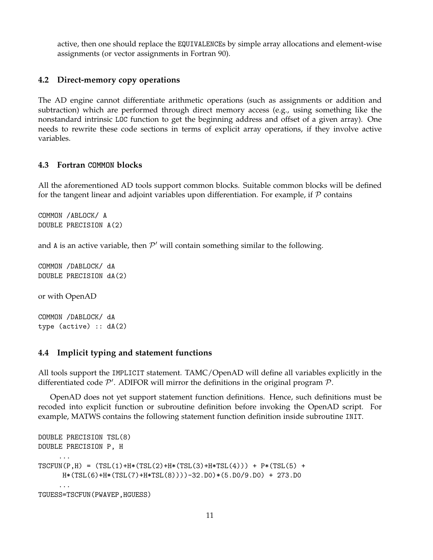active, then one should replace the EQUIVALENCEs by simple array allocations and element-wise assignments (or vector assignments in Fortran 90).

### **4.2 Direct-memory copy operations**

The AD engine cannot differentiate arithmetic operations (such as assignments or addition and subtraction) which are performed through direct memory access (e.g., using something like the nonstandard intrinsic LOC function to get the beginning address and offset of a given array). One needs to rewrite these code sections in terms of explicit array operations, if they involve active variables.

### **4.3 Fortran COMMON blocks**

All the aforementioned AD tools support common blocks. Suitable common blocks will be defined for the tangent linear and adjoint variables upon differentiation. For example, if  $P$  contains

COMMON /ABLOCK/ A DOUBLE PRECISION A(2)

and A is an active variable, then  $\mathcal{P}'$  will contain something similar to the following.

COMMON /DABLOCK/ dA DOUBLE PRECISION dA(2)

or with OpenAD

COMMON /DABLOCK/ dA type (active) :: dA(2)

### **4.4 Implicit typing and statement functions**

All tools support the IMPLICIT statement. TAMC/OpenAD will define all variables explicitly in the differentiated code  $\mathcal{P}'$ . ADIFOR will mirror the definitions in the original program  $\mathcal{P}$ .

OpenAD does not yet support statement function definitions. Hence, such definitions must be recoded into explicit function or subroutine definition before invoking the OpenAD script. For example, MATWS contains the following statement function definition inside subroutine INIT.

```
DOUBLE PRECISION TSL(8)
DOUBLE PRECISION P, H
     ...
TSCFUN(P,H) = (TSL(1)+H*(TSL(2)+H*(TSL(3)+H*TSL(4))) + P*(TSL(5) +H*(TSL(6)+H*(TSL(7)+H*TSL(8))))-32.D0)*(5.D0/9.D0) + 273.D0
     ...
TGUESS=TSCFUN(PWAVEP,HGUESS)
```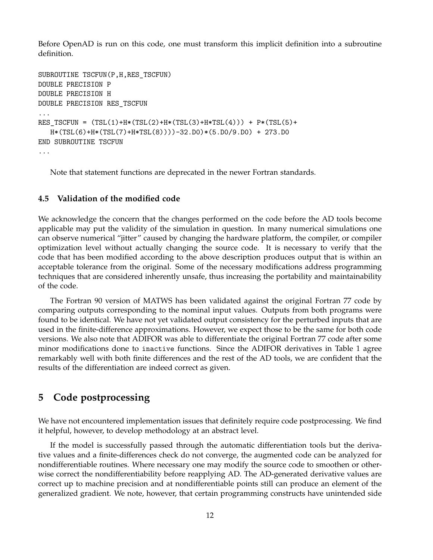Before OpenAD is run on this code, one must transform this implicit definition into a subroutine definition.

```
SUBROUTINE TSCFUN(P,H,RES_TSCFUN)
DOUBLE PRECISION P
DOUBLE PRECISION H
DOUBLE PRECISION RES_TSCFUN
...
RES_TSCFUN = (TSL(1)+H*(TSL(2)+H*(TSL(3)+H*TSL(4))) + P*(TSL(5)+H*(TSL(6)+H*(TSL(7)+H*TSL(8))))-32.D0)*(5.D0/9.D0) + 273.D0
END SUBROUTINE TSCFUN
...
```
Note that statement functions are deprecated in the newer Fortran standards.

### **4.5 Validation of the modified code**

We acknowledge the concern that the changes performed on the code before the AD tools become applicable may put the validity of the simulation in question. In many numerical simulations one can observe numerical "jitter" caused by changing the hardware platform, the compiler, or compiler optimization level without actually changing the source code. It is necessary to verify that the code that has been modified according to the above description produces output that is within an acceptable tolerance from the original. Some of the necessary modifications address programming techniques that are considered inherently unsafe, thus increasing the portability and maintainability of the code.

The Fortran 90 version of MATWS has been validated against the original Fortran 77 code by comparing outputs corresponding to the nominal input values. Outputs from both programs were found to be identical. We have not yet validated output consistency for the perturbed inputs that are used in the finite-difference approximations. However, we expect those to be the same for both code versions. We also note that ADIFOR was able to differentiate the original Fortran 77 code after some minor modifications done to inactive functions. Since the ADIFOR derivatives in Table 1 agree remarkably well with both finite differences and the rest of the AD tools, we are confident that the results of the differentiation are indeed correct as given.

# **5 Code postprocessing**

We have not encountered implementation issues that definitely require code postprocessing. We find it helpful, however, to develop methodology at an abstract level.

If the model is successfully passed through the automatic differentiation tools but the derivative values and a finite-differences check do not converge, the augmented code can be analyzed for nondifferentiable routines. Where necessary one may modify the source code to smoothen or otherwise correct the nondifferentiability before reapplying AD. The AD-generated derivative values are correct up to machine precision and at nondifferentiable points still can produce an element of the generalized gradient. We note, however, that certain programming constructs have unintended side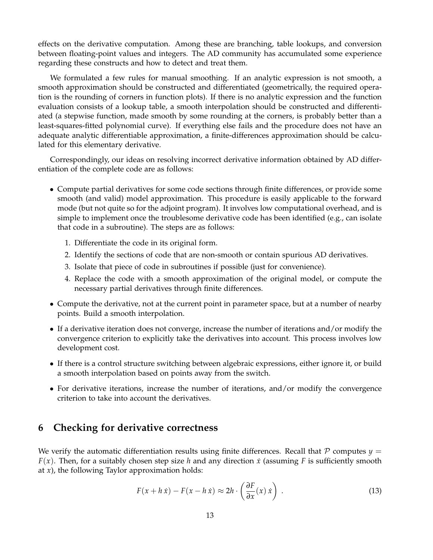effects on the derivative computation. Among these are branching, table lookups, and conversion between floating-point values and integers. The AD community has accumulated some experience regarding these constructs and how to detect and treat them.

We formulated a few rules for manual smoothing. If an analytic expression is not smooth, a smooth approximation should be constructed and differentiated (geometrically, the required operation is the rounding of corners in function plots). If there is no analytic expression and the function evaluation consists of a lookup table, a smooth interpolation should be constructed and differentiated (a stepwise function, made smooth by some rounding at the corners, is probably better than a least-squares-fitted polynomial curve). If everything else fails and the procedure does not have an adequate analytic differentiable approximation, a finite-differences approximation should be calculated for this elementary derivative.

Correspondingly, our ideas on resolving incorrect derivative information obtained by AD differentiation of the complete code are as follows:

- Compute partial derivatives for some code sections through finite differences, or provide some smooth (and valid) model approximation. This procedure is easily applicable to the forward mode (but not quite so for the adjoint program). It involves low computational overhead, and is simple to implement once the troublesome derivative code has been identified (e.g., can isolate that code in a subroutine). The steps are as follows:
	- 1. Differentiate the code in its original form.
	- 2. Identify the sections of code that are non-smooth or contain spurious AD derivatives.
	- 3. Isolate that piece of code in subroutines if possible (just for convenience).
	- 4. Replace the code with a smooth approximation of the original model, or compute the necessary partial derivatives through finite differences.
- Compute the derivative, not at the current point in parameter space, but at a number of nearby points. Build a smooth interpolation.
- If a derivative iteration does not converge, increase the number of iterations and/or modify the convergence criterion to explicitly take the derivatives into account. This process involves low development cost.
- If there is a control structure switching between algebraic expressions, either ignore it, or build a smooth interpolation based on points away from the switch.
- For derivative iterations, increase the number of iterations, and/or modify the convergence criterion to take into account the derivatives.

# **6 Checking for derivative correctness**

We verify the automatic differentiation results using finite differences. Recall that  $P$  computes  $y =$ *F*(*x*). Then, for a suitably chosen step size *h* and any direction *x*˙ (assuming *F* is sufficiently smooth at *x*), the following Taylor approximation holds:

$$
F(x + h\dot{x}) - F(x - h\dot{x}) \approx 2h \cdot \left(\frac{\partial F}{\partial x}(x)\dot{x}\right) \,. \tag{13}
$$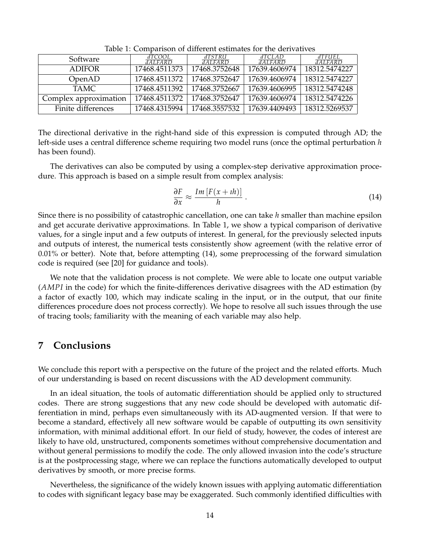| Software              | dTCOOL<br>$\overline{dAI.FARD}$ | dTSTRU<br>$dAI$ FARD | dTCLAD<br>dAI.FARD | dtfuel.<br>$dAI$ FARD |  |  |  |  |
|-----------------------|---------------------------------|----------------------|--------------------|-----------------------|--|--|--|--|
| <b>ADIFOR</b>         | 17468.4511373                   | 17468.3752648        | 17639.4606974      | 18312.5474227         |  |  |  |  |
| OpenAD                | 17468.4511372                   | 17468.3752647        | 17639.4606974      | 18312.5474227         |  |  |  |  |
| TAMC.                 | 17468.4511392                   | 17468.3752667        | 17639.4606995      | 18312.5474248         |  |  |  |  |
| Complex approximation | 17468.4511372                   | 17468.3752647        | 17639.4606974      | 18312.5474226         |  |  |  |  |
| Finite differences    | 17468.4315994                   | 17468.3557532        | 17639.4409493      | 18312.5269537         |  |  |  |  |

Table 1: Comparison of different estimates for the derivatives

The directional derivative in the right-hand side of this expression is computed through AD; the left-side uses a central difference scheme requiring two model runs (once the optimal perturbation *h* has been found).

The derivatives can also be computed by using a complex-step derivative approximation procedure. This approach is based on a simple result from complex analysis:

$$
\frac{\partial F}{\partial x} \approx \frac{Im\left[F(x+th)\right]}{h} \,. \tag{14}
$$

Since there is no possibility of catastrophic cancellation, one can take *h* smaller than machine epsilon and get accurate derivative approximations. In Table 1, we show a typical comparison of derivative values, for a single input and a few outputs of interest. In general, for the previously selected inputs and outputs of interest, the numerical tests consistently show agreement (with the relative error of 0.01% or better). Note that, before attempting (14), some preprocessing of the forward simulation code is required (see [20] for guidance and tools).

We note that the validation process is not complete. We were able to locate one output variable (*AMPI* in the code) for which the finite-differences derivative disagrees with the AD estimation (by a factor of exactly 100, which may indicate scaling in the input, or in the output, that our finite differences procedure does not process correctly). We hope to resolve all such issues through the use of tracing tools; familiarity with the meaning of each variable may also help.

# **7 Conclusions**

We conclude this report with a perspective on the future of the project and the related efforts. Much of our understanding is based on recent discussions with the AD development community.

In an ideal situation, the tools of automatic differentiation should be applied only to structured codes. There are strong suggestions that any new code should be developed with automatic differentiation in mind, perhaps even simultaneously with its AD-augmented version. If that were to become a standard, effectively all new software would be capable of outputting its own sensitivity information, with minimal additional effort. In our field of study, however, the codes of interest are likely to have old, unstructured, components sometimes without comprehensive documentation and without general permissions to modify the code. The only allowed invasion into the code's structure is at the postprocessing stage, where we can replace the functions automatically developed to output derivatives by smooth, or more precise forms.

Nevertheless, the significance of the widely known issues with applying automatic differentiation to codes with significant legacy base may be exaggerated. Such commonly identified difficulties with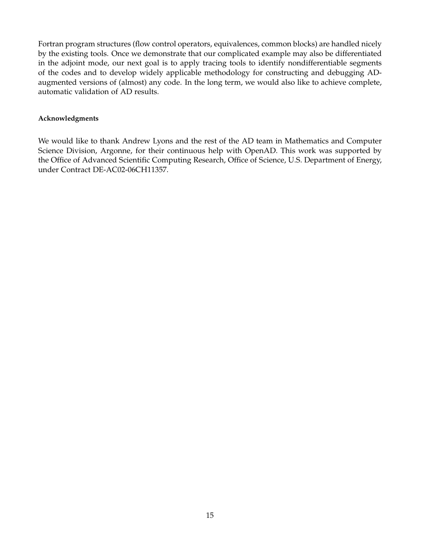Fortran program structures (flow control operators, equivalences, common blocks) are handled nicely by the existing tools. Once we demonstrate that our complicated example may also be differentiated in the adjoint mode, our next goal is to apply tracing tools to identify nondifferentiable segments of the codes and to develop widely applicable methodology for constructing and debugging ADaugmented versions of (almost) any code. In the long term, we would also like to achieve complete, automatic validation of AD results.

#### **Acknowledgments**

We would like to thank Andrew Lyons and the rest of the AD team in Mathematics and Computer Science Division, Argonne, for their continuous help with OpenAD. This work was supported by the Office of Advanced Scientific Computing Research, Office of Science, U.S. Department of Energy, under Contract DE-AC02-06CH11357.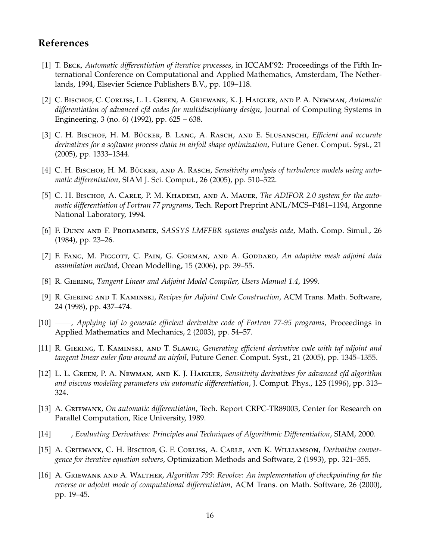# **References**

- [1] T. Beck, *Automatic differentiation of iterative processes*, in ICCAM'92: Proceedings of the Fifth International Conference on Computational and Applied Mathematics, Amsterdam, The Netherlands, 1994, Elsevier Science Publishers B.V., pp. 109–118.
- [2] C. Bischof, C. Corliss, L. L. Green, A. Griewank, K. J. Haigler, and P. A. Newman, *Automatic differentiation of advanced cfd codes for multidisciplinary design*, Journal of Computing Systems in Engineering, 3 (no. 6) (1992), pp. 625 – 638.
- [3] C. H. Bischof, H. M. Bücker, B. Lang, A. Rasch, and E. Slusanschi, *Efficient and accurate derivatives for a software process chain in airfoil shape optimization*, Future Gener. Comput. Syst., 21 (2005), pp. 1333–1344.
- [4] C. H. BISCHOF, H. M. BÜCKER, AND A. RASCH, *Sensitivity analysis of turbulence models using automatic differentiation*, SIAM J. Sci. Comput., 26 (2005), pp. 510–522.
- [5] C. H. Bischof, A. Carle, P. M. Khademi, and A. Mauer, *The ADIFOR 2.0 system for the automatic differentiation of Fortran 77 programs*, Tech. Report Preprint ANL/MCS–P481–1194, Argonne National Laboratory, 1994.
- [6] F. Dunn and F. Prohammer, *SASSYS LMFFBR systems analysis code*, Math. Comp. Simul., 26 (1984), pp. 23–26.
- [7] F. FANG, M. PIGGOTT, C. PAIN, G. GORMAN, AND A. GODDARD, *An adaptive mesh adjoint data assimilation method*, Ocean Modelling, 15 (2006), pp. 39–55.
- [8] R. Giering, *Tangent Linear and Adjoint Model Compiler, Users Manual 1.4*, 1999.
- [9] R. Giering and T. Kaminski, *Recipes for Adjoint Code Construction*, ACM Trans. Math. Software, 24 (1998), pp. 437–474.
- [10] , *Applying taf to generate efficient derivative code of Fortran 77-95 programs*, Proceedings in Applied Mathematics and Mechanics, 2 (2003), pp. 54–57.
- [11] R. Giering, T. Kaminski, and T. Slawig, *Generating efficient derivative code with taf adjoint and tangent linear euler flow around an airfoil*, Future Gener. Comput. Syst., 21 (2005), pp. 1345–1355.
- [12] L. L. Green, P. A. Newman, and K. J. Haigler, *Sensitivity derivatives for advanced cfd algorithm and viscous modeling parameters via automatic differentiation*, J. Comput. Phys., 125 (1996), pp. 313– 324.
- [13] A. Griewank, *On automatic differentiation*, Tech. Report CRPC-TR89003, Center for Research on Parallel Computation, Rice University, 1989.
- [14] , *Evaluating Derivatives: Principles and Techniques of Algorithmic Differentiation*, SIAM, 2000.
- [15] A. Griewank, C. H. Bischof, G. F. Corliss, A. Carle, and K. Williamson, *Derivative convergence for iterative equation solvers*, Optimization Methods and Software, 2 (1993), pp. 321–355.
- [16] A. Griewank and A. Walther, *Algorithm 799: Revolve: An implementation of checkpointing for the reverse or adjoint mode of computational differentiation*, ACM Trans. on Math. Software, 26 (2000), pp. 19–45.